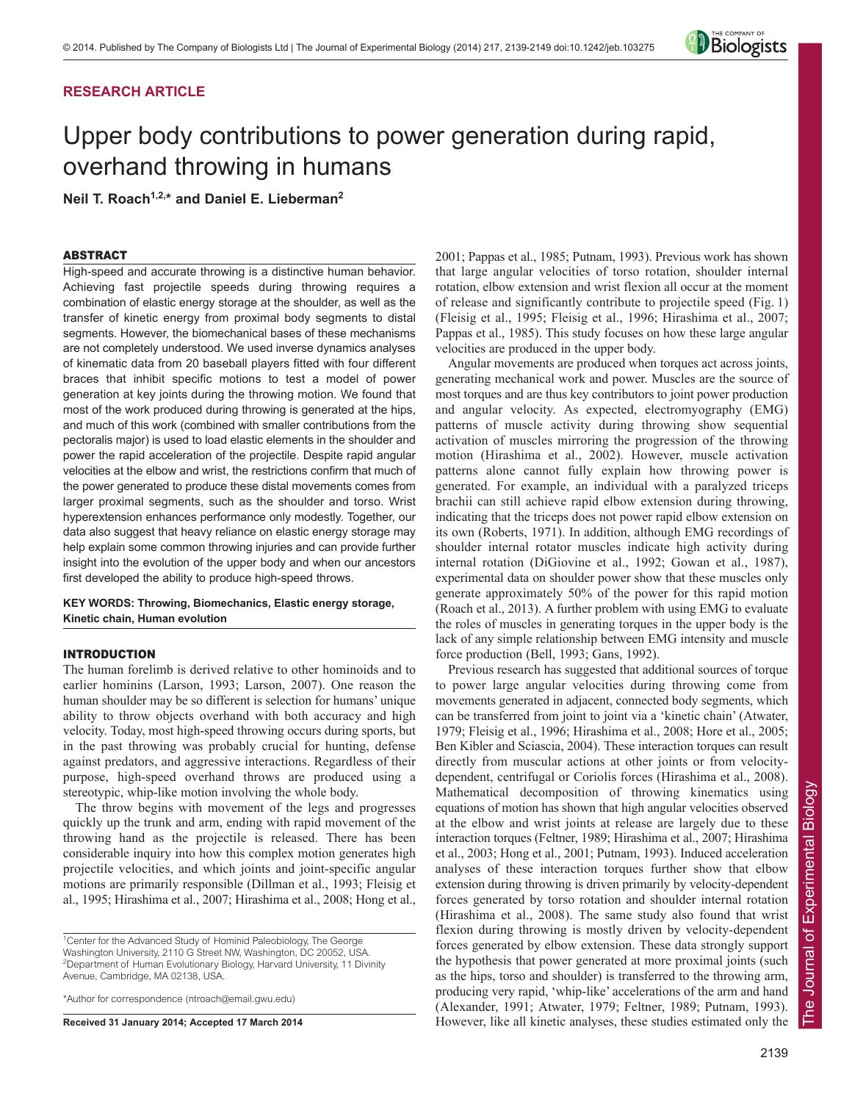# **RESEARCH ARTICLE**

# Upper body contributions to power generation during rapid, overhand throwing in humans

**Neil T. Roach1,2,\* and Daniel E. Lieberman2**

## ABSTRACT

High-speed and accurate throwing is a distinctive human behavior. Achieving fast projectile speeds during throwing requires a combination of elastic energy storage at the shoulder, as well as the transfer of kinetic energy from proximal body segments to distal segments. However, the biomechanical bases of these mechanisms are not completely understood. We used inverse dynamics analyses of kinematic data from 20 baseball players fitted with four different braces that inhibit specific motions to test a model of power generation at key joints during the throwing motion. We found that most of the work produced during throwing is generated at the hips, and much of this work (combined with smaller contributions from the pectoralis major) is used to load elastic elements in the shoulder and power the rapid acceleration of the projectile. Despite rapid angular velocities at the elbow and wrist, the restrictions confirm that much of the power generated to produce these distal movements comes from larger proximal segments, such as the shoulder and torso. Wrist hyperextension enhances performance only modestly. Together, our data also suggest that heavy reliance on elastic energy storage may help explain some common throwing injuries and can provide further insight into the evolution of the upper body and when our ancestors first developed the ability to produce high-speed throws.

**KEY WORDS: Throwing, Biomechanics, Elastic energy storage, Kinetic chain, Human evolution**

## INTRODUCTION

The human forelimb is derived relative to other hominoids and to earlier hominins (Larson, 1993; Larson, 2007). One reason the human shoulder may be so different is selection for humans' unique ability to throw objects overhand with both accuracy and high velocity. Today, most high-speed throwing occurs during sports, but in the past throwing was probably crucial for hunting, defense against predators, and aggressive interactions. Regardless of their purpose, high-speed overhand throws are produced using a stereotypic, whip-like motion involving the whole body.

The throw begins with movement of the legs and progresses quickly up the trunk and arm, ending with rapid movement of the throwing hand as the projectile is released. There has been considerable inquiry into how this complex motion generates high projectile velocities, and which joints and joint-specific angular motions are primarily responsible (Dillman et al., 1993; Fleisig et al., 1995; Hirashima et al., 2007; Hirashima et al., 2008; Hong et al.,

\*Author for correspondence (ntroach@email.gwu.edu)

**Received 31 January 2014; Accepted 17 March 2014**

2001; Pappas et al., 1985; Putnam, 1993). Previous work has shown that large angular velocities of torso rotation, shoulder internal rotation, elbow extension and wrist flexion all occur at the moment of release and significantly contribute to projectile speed (Fig. 1) (Fleisig et al., 1995; Fleisig et al., 1996; Hirashima et al., 2007; Pappas et al., 1985). This study focuses on how these large angular velocities are produced in the upper body.

Angular movements are produced when torques act across joints, generating mechanical work and power. Muscles are the source of most torques and are thus key contributors to joint power production and angular velocity. As expected, electromyography (EMG) patterns of muscle activity during throwing show sequential activation of muscles mirroring the progression of the throwing motion (Hirashima et al., 2002). However, muscle activation patterns alone cannot fully explain how throwing power is generated. For example, an individual with a paralyzed triceps brachii can still achieve rapid elbow extension during throwing, indicating that the triceps does not power rapid elbow extension on its own (Roberts, 1971). In addition, although EMG recordings of shoulder internal rotator muscles indicate high activity during internal rotation (DiGiovine et al., 1992; Gowan et al., 1987), experimental data on shoulder power show that these muscles only generate approximately 50% of the power for this rapid motion (Roach et al., 2013). A further problem with using EMG to evaluate the roles of muscles in generating torques in the upper body is the lack of any simple relationship between EMG intensity and muscle force production (Bell, 1993; Gans, 1992).

Previous research has suggested that additional sources of torque to power large angular velocities during throwing come from movements generated in adjacent, connected body segments, which can be transferred from joint to joint via a 'kinetic chain' (Atwater, 1979; Fleisig et al., 1996; Hirashima et al., 2008; Hore et al., 2005; Ben Kibler and Sciascia, 2004). These interaction torques can result directly from muscular actions at other joints or from velocitydependent, centrifugal or Coriolis forces (Hirashima et al., 2008). Mathematical decomposition of throwing kinematics using equations of motion has shown that high angular velocities observed at the elbow and wrist joints at release are largely due to these interaction torques (Feltner, 1989; Hirashima et al., 2007; Hirashima et al., 2003; Hong et al., 2001; Putnam, 1993). Induced acceleration analyses of these interaction torques further show that elbow extension during throwing is driven primarily by velocity-dependent forces generated by torso rotation and shoulder internal rotation (Hirashima et al., 2008). The same study also found that wrist flexion during throwing is mostly driven by velocity-dependent forces generated by elbow extension. These data strongly support the hypothesis that power generated at more proximal joints (such as the hips, torso and shoulder) is transferred to the throwing arm, producing very rapid, 'whip-like' accelerations of the arm and hand (Alexander, 1991; Atwater, 1979; Feltner, 1989; Putnam, 1993). However, like all kinetic analyses, these studies estimated only the



<sup>&</sup>lt;sup>1</sup> Center for the Advanced Study of Hominid Paleobiology, The George Washington University, 2110 G Street NW, Washington, DC 20052, USA. <sup>2</sup>Department of Human Evolutionary Biology, Harvard University, 11 Divinity Avenue, Cambridge, MA 02138, USA.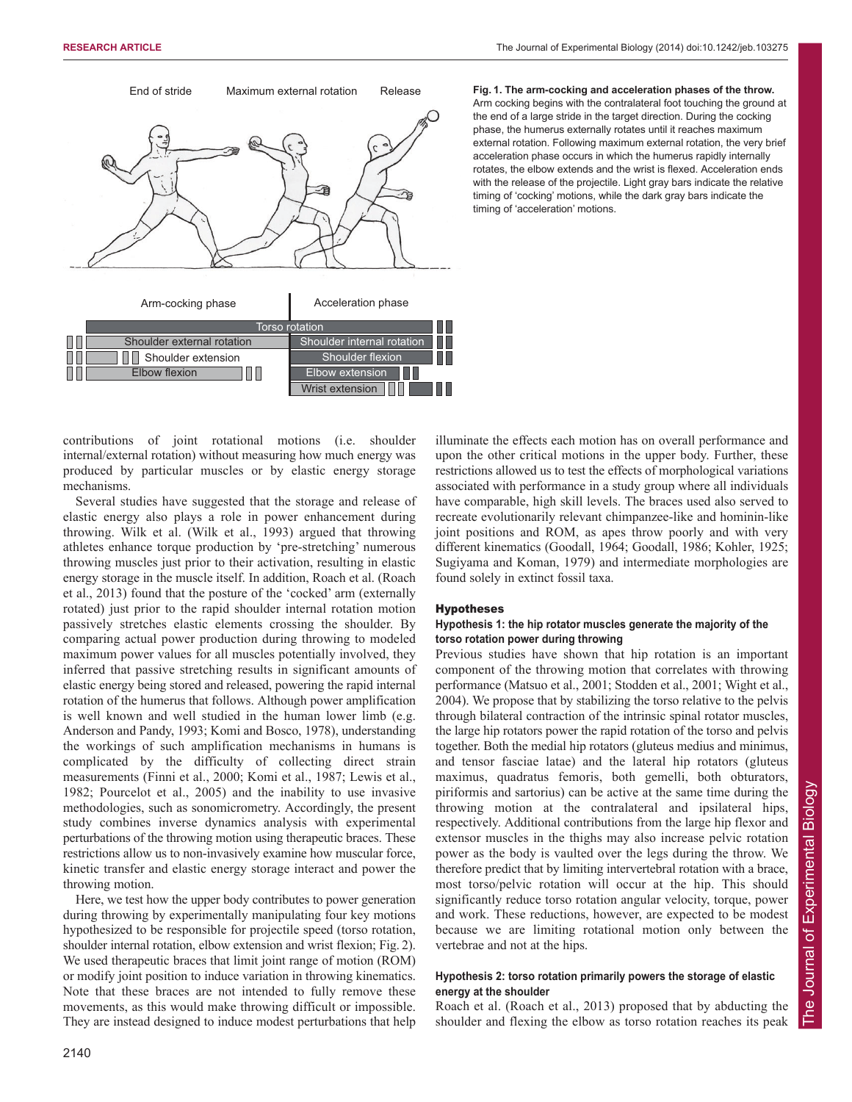

contributions of joint rotational motions (i.e. shoulder internal/external rotation) without measuring how much energy was produced by particular muscles or by elastic energy storage mechanisms.

Several studies have suggested that the storage and release of elastic energy also plays a role in power enhancement during throwing. Wilk et al. (Wilk et al., 1993) argued that throwing athletes enhance torque production by 'pre-stretching' numerous throwing muscles just prior to their activation, resulting in elastic energy storage in the muscle itself. In addition, Roach et al. (Roach et al., 2013) found that the posture of the 'cocked' arm (externally rotated) just prior to the rapid shoulder internal rotation motion passively stretches elastic elements crossing the shoulder. By comparing actual power production during throwing to modeled maximum power values for all muscles potentially involved, they inferred that passive stretching results in significant amounts of elastic energy being stored and released, powering the rapid internal rotation of the humerus that follows. Although power amplification is well known and well studied in the human lower limb (e.g. Anderson and Pandy, 1993; Komi and Bosco, 1978), understanding the workings of such amplification mechanisms in humans is complicated by the difficulty of collecting direct strain measurements (Finni et al., 2000; Komi et al., 1987; Lewis et al., 1982; Pourcelot et al., 2005) and the inability to use invasive methodologies, such as sonomicrometry. Accordingly, the present study combines inverse dynamics analysis with experimental perturbations of the throwing motion using therapeutic braces. These restrictions allow us to non-invasively examine how muscular force, kinetic transfer and elastic energy storage interact and power the throwing motion.

Here, we test how the upper body contributes to power generation during throwing by experimentally manipulating four key motions hypothesized to be responsible for projectile speed (torso rotation, shoulder internal rotation, elbow extension and wrist flexion; Fig. 2). We used therapeutic braces that limit joint range of motion (ROM) or modify joint position to induce variation in throwing kinematics. Note that these braces are not intended to fully remove these movements, as this would make throwing difficult or impossible. They are instead designed to induce modest perturbations that help **Fig. 1. The arm-cocking and acceleration phases of the throw.** Arm cocking begins with the contralateral foot touching the ground at the end of a large stride in the target direction. During the cocking phase, the humerus externally rotates until it reaches maximum external rotation. Following maximum external rotation, the very brief acceleration phase occurs in which the humerus rapidly internally rotates, the elbow extends and the wrist is flexed. Acceleration ends with the release of the projectile. Light gray bars indicate the relative timing of 'cocking' motions, while the dark gray bars indicate the timing of 'acceleration' motions.

illuminate the effects each motion has on overall performance and upon the other critical motions in the upper body. Further, these restrictions allowed us to test the effects of morphological variations associated with performance in a study group where all individuals have comparable, high skill levels. The braces used also served to recreate evolutionarily relevant chimpanzee-like and hominin-like joint positions and ROM, as apes throw poorly and with very different kinematics (Goodall, 1964; Goodall, 1986; Kohler, 1925; Sugiyama and Koman, 1979) and intermediate morphologies are found solely in extinct fossil taxa.

#### Hypotheses

## **Hypothesis 1: the hip rotator muscles generate the majority of the torso rotation power during throwing**

Previous studies have shown that hip rotation is an important component of the throwing motion that correlates with throwing performance (Matsuo et al., 2001; Stodden et al., 2001; Wight et al., 2004). We propose that by stabilizing the torso relative to the pelvis through bilateral contraction of the intrinsic spinal rotator muscles, the large hip rotators power the rapid rotation of the torso and pelvis together. Both the medial hip rotators (gluteus medius and minimus, and tensor fasciae latae) and the lateral hip rotators (gluteus maximus, quadratus femoris, both gemelli, both obturators, piriformis and sartorius) can be active at the same time during the throwing motion at the contralateral and ipsilateral hips, respectively. Additional contributions from the large hip flexor and extensor muscles in the thighs may also increase pelvic rotation power as the body is vaulted over the legs during the throw. We therefore predict that by limiting intervertebral rotation with a brace, most torso/pelvic rotation will occur at the hip. This should significantly reduce torso rotation angular velocity, torque, power and work. These reductions, however, are expected to be modest because we are limiting rotational motion only between the vertebrae and not at the hips.

# **Hypothesis 2: torso rotation primarily powers the storage of elastic energy at the shoulder**

Roach et al. (Roach et al., 2013) proposed that by abducting the shoulder and flexing the elbow as torso rotation reaches its peak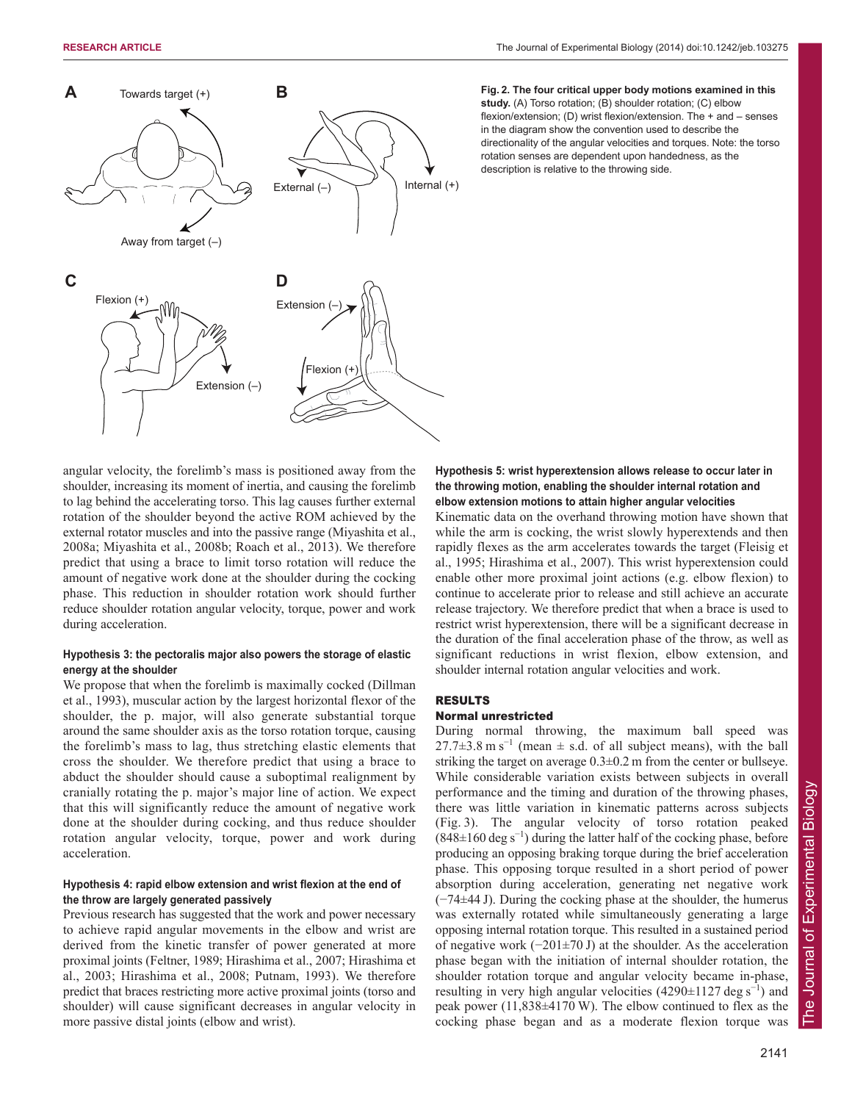

**B Fig. 2. The four critical upper body motions examined in this study.** (A) Torso rotation; (B) shoulder rotation; (C) elbow flexion/extension; (D) wrist flexion/extension. The + and – senses in the diagram show the convention used to describe the directionality of the angular velocities and torques. Note: the torso rotation senses are dependent upon handedness, as the description is relative to the throwing side.

angular velocity, the forelimb's mass is positioned away from the shoulder, increasing its moment of inertia, and causing the forelimb to lag behind the accelerating torso. This lag causes further external rotation of the shoulder beyond the active ROM achieved by the external rotator muscles and into the passive range (Miyashita et al., 2008a; Miyashita et al., 2008b; Roach et al., 2013). We therefore predict that using a brace to limit torso rotation will reduce the amount of negative work done at the shoulder during the cocking phase. This reduction in shoulder rotation work should further reduce shoulder rotation angular velocity, torque, power and work during acceleration.

## **Hypothesis 3: the pectoralis major also powers the storage of elastic energy at the shoulder**

We propose that when the forelimb is maximally cocked (Dillman et al., 1993), muscular action by the largest horizontal flexor of the shoulder, the p. major, will also generate substantial torque around the same shoulder axis as the torso rotation torque, causing the forelimb's mass to lag, thus stretching elastic elements that cross the shoulder. We therefore predict that using a brace to abduct the shoulder should cause a suboptimal realignment by cranially rotating the p. major's major line of action. We expect that this will significantly reduce the amount of negative work done at the shoulder during cocking, and thus reduce shoulder rotation angular velocity, torque, power and work during acceleration.

# **Hypothesis 4: rapid elbow extension and wrist flexion at the end of the throw are largely generated passively**

Previous research has suggested that the work and power necessary to achieve rapid angular movements in the elbow and wrist are derived from the kinetic transfer of power generated at more proximal joints (Feltner, 1989; Hirashima et al., 2007; Hirashima et al., 2003; Hirashima et al., 2008; Putnam, 1993). We therefore predict that braces restricting more active proximal joints (torso and shoulder) will cause significant decreases in angular velocity in more passive distal joints (elbow and wrist).

# **Hypothesis 5: wrist hyperextension allows release to occur later in the throwing motion, enabling the shoulder internal rotation and elbow extension motions to attain higher angular velocities**

Kinematic data on the overhand throwing motion have shown that while the arm is cocking, the wrist slowly hyperextends and then rapidly flexes as the arm accelerates towards the target (Fleisig et al., 1995; Hirashima et al., 2007). This wrist hyperextension could enable other more proximal joint actions (e.g. elbow flexion) to continue to accelerate prior to release and still achieve an accurate release trajectory. We therefore predict that when a brace is used to restrict wrist hyperextension, there will be a significant decrease in the duration of the final acceleration phase of the throw, as well as significant reductions in wrist flexion, elbow extension, and shoulder internal rotation angular velocities and work.

# RESULTS

## Normal unrestricted

During normal throwing, the maximum ball speed was  $27.7\pm3.8$  m s<sup>-1</sup> (mean  $\pm$  s.d. of all subject means), with the ball striking the target on average 0.3±0.2 m from the center or bullseye. While considerable variation exists between subjects in overall performance and the timing and duration of the throwing phases, there was little variation in kinematic patterns across subjects (Fig. 3). The angular velocity of torso rotation peaked  $(848\pm160 \text{ deg s}^{-1})$  during the latter half of the cocking phase, before producing an opposing braking torque during the brief acceleration phase. This opposing torque resulted in a short period of power absorption during acceleration, generating net negative work (−74±44 J). During the cocking phase at the shoulder, the humerus was externally rotated while simultaneously generating a large opposing internal rotation torque. This resulted in a sustained period of negative work (−201±70 J) at the shoulder. As the acceleration phase began with the initiation of internal shoulder rotation, the shoulder rotation torque and angular velocity became in-phase, resulting in very high angular velocities  $(4290±1127 \text{ deg s}^{-1})$  and peak power (11,838±4170 W). The elbow continued to flex as the cocking phase began and as a moderate flexion torque was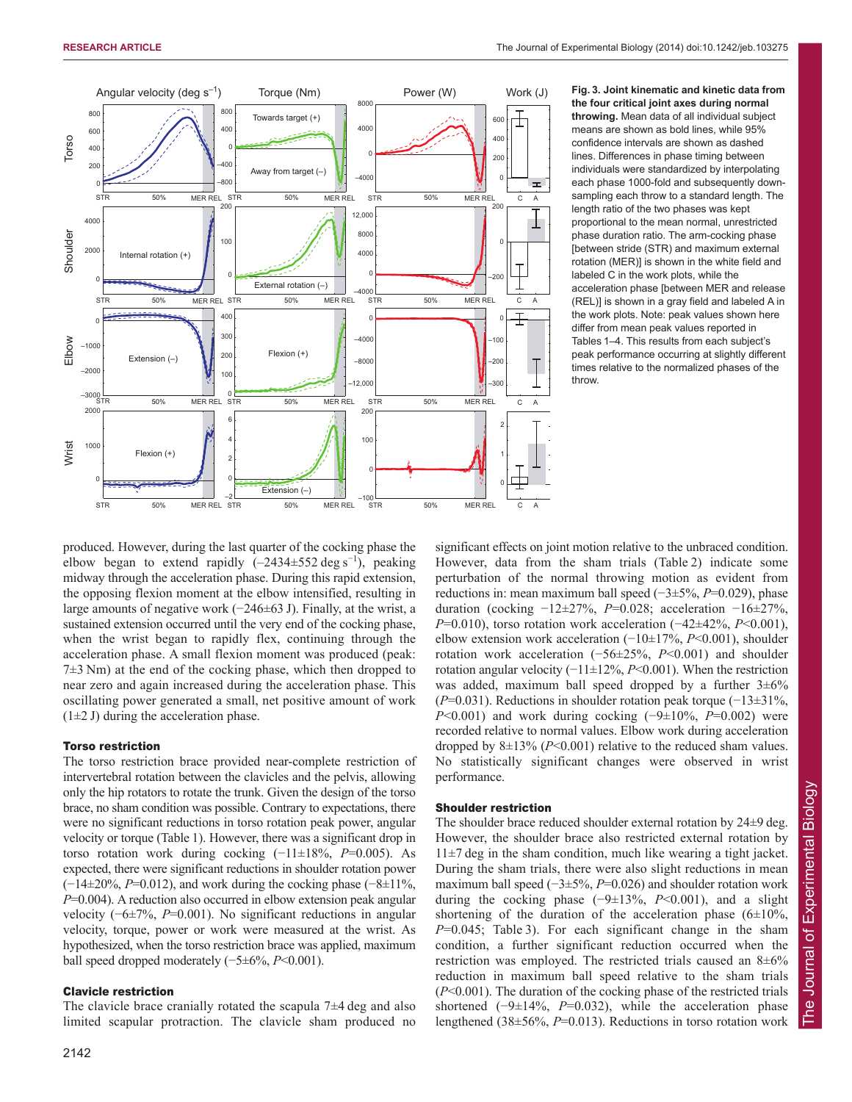

**Fig. 3. Joint kinematic and kinetic data from the four critical joint axes during normal throwing.** Mean data of all individual subject means are shown as bold lines, while 95% confidence intervals are shown as dashed lines. Differences in phase timing between individuals were standardized by interpolating each phase 1000-fold and subsequently downsampling each throw to a standard length. The length ratio of the two phases was kept proportional to the mean normal, unrestricted phase duration ratio. The arm-cocking phase [between stride (STR) and maximum external rotation (MER)] is shown in the white field and labeled C in the work plots, while the acceleration phase [between MER and release (REL)] is shown in a gray field and labeled A in the work plots. Note: peak values shown here differ from mean peak values reported in Tables 1–4. This results from each subject's peak performance occurring at slightly different times relative to the normalized phases of the throw.

produced. However, during the last quarter of the cocking phase the elbow began to extend rapidly  $(-2434 \pm 552 \deg s^{-1})$ , peaking midway through the acceleration phase. During this rapid extension, the opposing flexion moment at the elbow intensified, resulting in large amounts of negative work (−246±63 J). Finally, at the wrist, a sustained extension occurred until the very end of the cocking phase, when the wrist began to rapidly flex, continuing through the acceleration phase. A small flexion moment was produced (peak: 7±3 Nm) at the end of the cocking phase, which then dropped to near zero and again increased during the acceleration phase. This oscillating power generated a small, net positive amount of work  $(1\pm2)$  J) during the acceleration phase.

## Torso restriction

The torso restriction brace provided near-complete restriction of intervertebral rotation between the clavicles and the pelvis, allowing only the hip rotators to rotate the trunk. Given the design of the torso brace, no sham condition was possible. Contrary to expectations, there were no significant reductions in torso rotation peak power, angular velocity or torque (Table 1). However, there was a significant drop in torso rotation work during cocking (−11±18%, *P*=0.005). As expected, there were significant reductions in shoulder rotation power (−14±20%, *P*=0.012), and work during the cocking phase (−8±11%, *P*=0.004). A reduction also occurred in elbow extension peak angular velocity (−6±7%, *P*=0.001). No significant reductions in angular velocity, torque, power or work were measured at the wrist. As hypothesized, when the torso restriction brace was applied, maximum ball speed dropped moderately (−5±6%, *P*<0.001).

## Clavicle restriction

The clavicle brace cranially rotated the scapula  $7\pm 4$  deg and also limited scapular protraction. The clavicle sham produced no significant effects on joint motion relative to the unbraced condition. However, data from the sham trials (Table 2) indicate some perturbation of the normal throwing motion as evident from reductions in: mean maximum ball speed (−3±5%, *P*=0.029), phase duration (cocking −12±27%, *P*=0.028; acceleration −16±27%, *P*=0.010), torso rotation work acceleration (−42±42%, *P*<0.001), elbow extension work acceleration (−10±17%, *P*<0.001), shoulder rotation work acceleration (−56±25%, *P*<0.001) and shoulder rotation angular velocity (−11±12%, *P*<0.001). When the restriction was added, maximum ball speed dropped by a further  $3\pm6\%$ (*P*=0.031). Reductions in shoulder rotation peak torque (−13±31%, *P*<0.001) and work during cocking (−9±10%, *P*=0.002) were recorded relative to normal values. Elbow work during acceleration dropped by 8±13% (*P*<0.001) relative to the reduced sham values. No statistically significant changes were observed in wrist performance.

## Shoulder restriction

The shoulder brace reduced shoulder external rotation by 24±9 deg. However, the shoulder brace also restricted external rotation by 11±7 deg in the sham condition, much like wearing a tight jacket. During the sham trials, there were also slight reductions in mean maximum ball speed (−3±5%, *P*=0.026) and shoulder rotation work during the cocking phase (−9±13%, *P*<0.001), and a slight shortening of the duration of the acceleration phase  $(6\pm 10\%$ , *P*=0.045; Table 3). For each significant change in the sham condition, a further significant reduction occurred when the restriction was employed. The restricted trials caused an  $8\pm6\%$ reduction in maximum ball speed relative to the sham trials (*P*<0.001). The duration of the cocking phase of the restricted trials shortened (−9±14%, *P*=0.032), while the acceleration phase lengthened (38±56%, *P*=0.013). Reductions in torso rotation work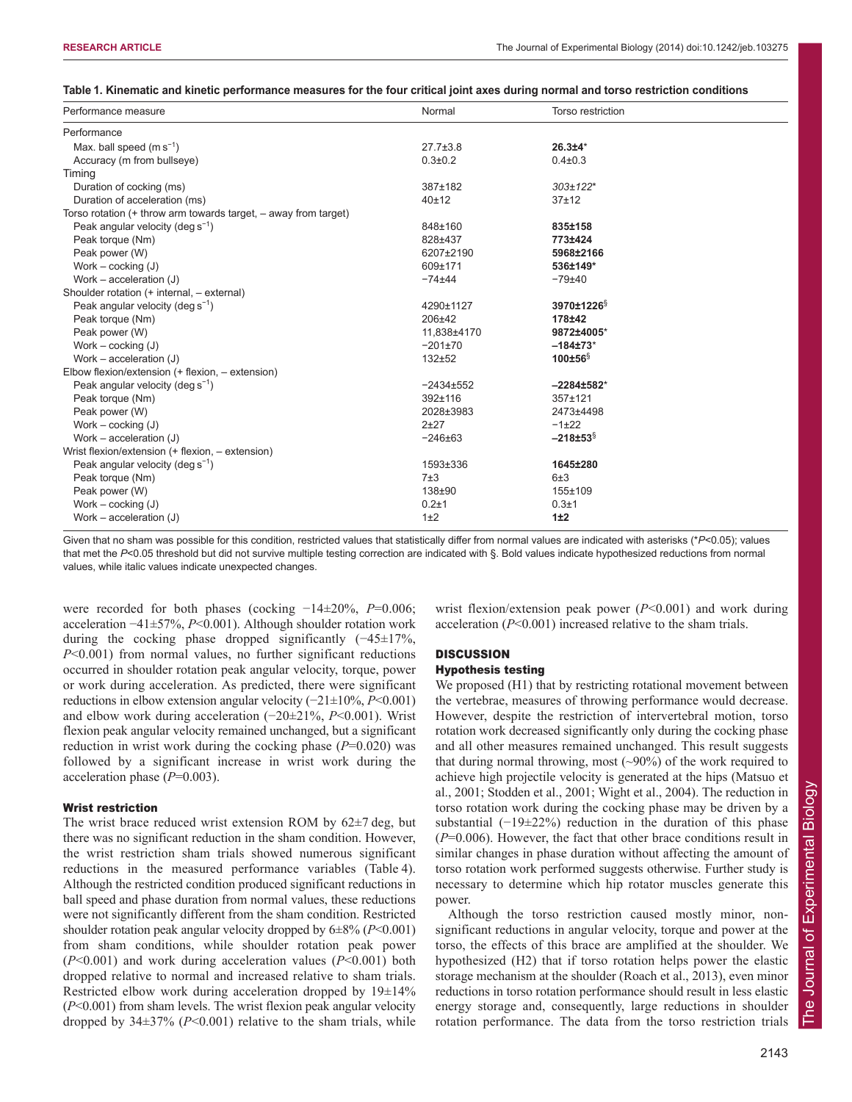#### **Table 1. Kinematic and kinetic performance measures for the four critical joint axes during normal and torso restriction conditions**

| Performance measure                                             | Normal         | Torso restriction |  |
|-----------------------------------------------------------------|----------------|-------------------|--|
| Performance                                                     |                |                   |  |
| Max. ball speed $(m s^{-1})$                                    | $27.7 \pm 3.8$ | $26.3 + 4*$       |  |
| Accuracy (m from bullseye)                                      | $0.3 \pm 0.2$  | $0.4 \pm 0.3$     |  |
| Timing                                                          |                |                   |  |
| Duration of cocking (ms)                                        | 387±182        | $303 \pm 122$ *   |  |
| Duration of acceleration (ms)                                   | 40±12          | $37 + 12$         |  |
| Torso rotation (+ throw arm towards target, - away from target) |                |                   |  |
| Peak angular velocity (deg $s^{-1}$ )                           | 848±160        | 835±158           |  |
| Peak torque (Nm)                                                | 828±437        | 773±424           |  |
| Peak power (W)                                                  | 6207±2190      | 5968±2166         |  |
| Work $-$ cocking $(J)$                                          | 609±171        | 536±149*          |  |
| Work $-$ acceleration $(J)$                                     | $-74+44$       | $-79±40$          |  |
| Shoulder rotation (+ internal, - external)                      |                |                   |  |
| Peak angular velocity (deg $s^{-1}$ )                           | 4290±1127      | 3970±1226§        |  |
| Peak torque (Nm)                                                | 206±42         | 178±42            |  |
| Peak power (W)                                                  | 11.838±4170    | 9872±4005*        |  |
| Work $-$ cocking $(J)$                                          | $-201 \pm 70$  | $-184±73*$        |  |
| Work $-$ acceleration (J)                                       | $132 + 52$     | $100\pm56^\S$     |  |
| Elbow flexion/extension (+ flexion, - extension)                |                |                   |  |
| Peak angular velocity (deg $s^{-1}$ )                           | $-2434+552$    | $-2284±582*$      |  |
| Peak torque (Nm)                                                | 392±116        | 357±121           |  |
| Peak power (W)                                                  | 2028±3983      | 2473±4498         |  |
| Work - cocking (J)                                              | $2 + 27$       | $-1\pm 22$        |  |
| Work – acceleration $(J)$                                       | $-246+63$      | $-218 + 53$       |  |
| Wrist flexion/extension (+ flexion, - extension)                |                |                   |  |
| Peak angular velocity (deg $s^{-1}$ )                           | 1593±336       | 1645±280          |  |
| Peak torque (Nm)                                                | 7±3            | 6±3               |  |
| Peak power (W)                                                  | 138±90         | 155±109           |  |
| Work $-$ cocking $(J)$                                          | $0.2 + 1$      | $0.3 + 1$         |  |
| Work – acceleration $(J)$                                       | 1±2            | 1±2               |  |
|                                                                 |                |                   |  |

Given that no sham was possible for this condition, restricted values that statistically differ from normal values are indicated with asterisks (\**P*<0.05); values that met the *P*<0.05 threshold but did not survive multiple testing correction are indicated with §. Bold values indicate hypothesized reductions from normal values, while italic values indicate unexpected changes.

were recorded for both phases (cocking −14±20%, *P*=0.006; acceleration −41±57%, *P*<0.001). Although shoulder rotation work during the cocking phase dropped significantly (−45±17%, *P*<0.001) from normal values, no further significant reductions occurred in shoulder rotation peak angular velocity, torque, power or work during acceleration. As predicted, there were significant reductions in elbow extension angular velocity (−21±10%, *P*<0.001) and elbow work during acceleration (−20±21%, *P*<0.001). Wrist flexion peak angular velocity remained unchanged, but a significant reduction in wrist work during the cocking phase (*P*=0.020) was followed by a significant increase in wrist work during the acceleration phase (*P*=0.003).

#### Wrist restriction

The wrist brace reduced wrist extension ROM by  $62\pm7$  deg, but there was no significant reduction in the sham condition. However, the wrist restriction sham trials showed numerous significant reductions in the measured performance variables (Table 4). Although the restricted condition produced significant reductions in ball speed and phase duration from normal values, these reductions were not significantly different from the sham condition. Restricted shoulder rotation peak angular velocity dropped by 6±8% (*P*<0.001) from sham conditions, while shoulder rotation peak power (*P*<0.001) and work during acceleration values (*P*<0.001) both dropped relative to normal and increased relative to sham trials. Restricted elbow work during acceleration dropped by 19±14% (*P*<0.001) from sham levels. The wrist flexion peak angular velocity dropped by 34±37% (*P*<0.001) relative to the sham trials, while wrist flexion/extension peak power (*P*<0.001) and work during acceleration (*P*<0.001) increased relative to the sham trials.

# **DISCUSSION**

#### Hypothesis testing

We proposed (H1) that by restricting rotational movement between the vertebrae, measures of throwing performance would decrease. However, despite the restriction of intervertebral motion, torso rotation work decreased significantly only during the cocking phase and all other measures remained unchanged. This result suggests that during normal throwing, most  $(\sim 90\%)$  of the work required to achieve high projectile velocity is generated at the hips (Matsuo et al., 2001; Stodden et al., 2001; Wight et al., 2004). The reduction in torso rotation work during the cocking phase may be driven by a substantial (−19±22%) reduction in the duration of this phase (*P*=0.006). However, the fact that other brace conditions result in similar changes in phase duration without affecting the amount of torso rotation work performed suggests otherwise. Further study is necessary to determine which hip rotator muscles generate this power.

Although the torso restriction caused mostly minor, nonsignificant reductions in angular velocity, torque and power at the torso, the effects of this brace are amplified at the shoulder. We hypothesized (H2) that if torso rotation helps power the elastic storage mechanism at the shoulder (Roach et al., 2013), even minor reductions in torso rotation performance should result in less elastic energy storage and, consequently, large reductions in shoulder rotation performance. The data from the torso restriction trials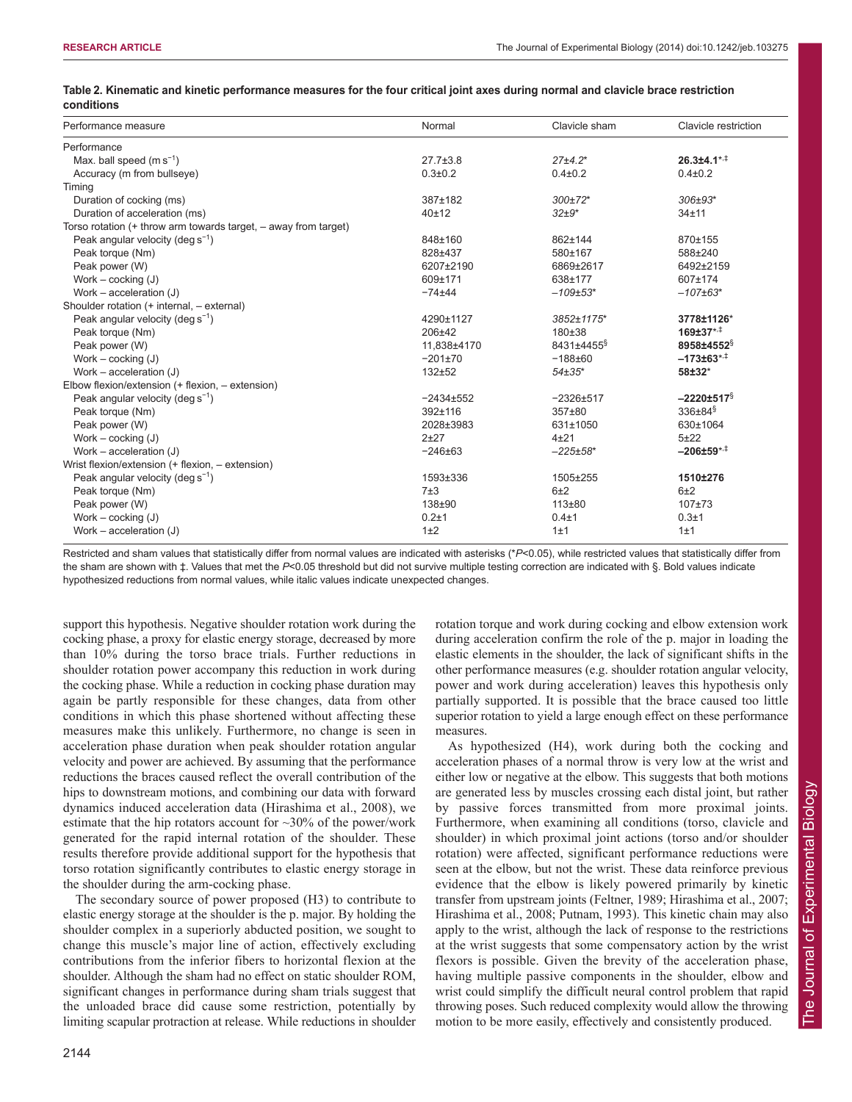| Table 2. Kinematic and kinetic performance measures for the four critical joint axes during normal and clavicle brace restriction |  |
|-----------------------------------------------------------------------------------------------------------------------------------|--|
| conditions                                                                                                                        |  |

| Performance measure                                             | Normal         | Clavicle sham | Clavicle restriction         |
|-----------------------------------------------------------------|----------------|---------------|------------------------------|
| Performance                                                     |                |               |                              |
| Max. ball speed $(m s^{-1})$                                    | $27.7 \pm 3.8$ | $27+4.2*$     | $26.3{\pm}4.1^{*+}$          |
| Accuracy (m from bullseye)                                      | $0.3 \pm 0.2$  | $0.4 \pm 0.2$ | $0.4 \pm 0.2$                |
| Timing                                                          |                |               |                              |
| Duration of cocking (ms)                                        | 387±182        | $300+72*$     | 306±93*                      |
| Duration of acceleration (ms)                                   | 40±12          | $32 + 9*$     | $34 + 11$                    |
| Torso rotation (+ throw arm towards target, - away from target) |                |               |                              |
| Peak angular velocity (deg $s^{-1}$ )                           | 848±160        | 862±144       | 870±155                      |
| Peak torque (Nm)                                                | 828±437        | 580±167       | 588±240                      |
| Peak power (W)                                                  | 6207±2190      | 6869±2617     | 6492±2159                    |
| Work $-$ cocking $(J)$                                          | 609±171        | 638±177       | 607±174                      |
| Work $-$ acceleration (J)                                       | $-74+44$       | $-109+53*$    | $-107+63*$                   |
| Shoulder rotation (+ internal, - external)                      |                |               |                              |
| Peak angular velocity (deg $s^{-1}$ )                           | 4290±1127      | 3852±1175*    | 3778±1126*                   |
| Peak torque (Nm)                                                | 206±42         | 180±38        | $169±37**$                   |
| Peak power (W)                                                  | 11,838±4170    | 8431±4455§    | 8958±4552§                   |
| Work $-$ cocking $(J)$                                          | $-201 \pm 70$  | $-188+60$     | $-173 \pm 63^{*,+}$          |
| Work $-$ acceleration (J)                                       | $132 + 52$     | $54 + 35*$    | 58±32*                       |
| Elbow flexion/extension (+ flexion, - extension)                |                |               |                              |
| Peak angular velocity (deg $s^{-1}$ )                           | $-2434+552$    | $-2326+517$   | $-2220 \pm 517$ <sup>§</sup> |
| Peak torque (Nm)                                                | 392±116        | 357±80        | 336±84§                      |
| Peak power (W)                                                  | 2028±3983      | 631±1050      | 630±1064                     |
| Work $-$ cocking $(J)$                                          | $2+27$         | 4±21          | 5±22                         |
| Work $-$ acceleration (J)                                       | $-246+63$      | $-225+58*$    | $-206 \pm 59^{*,+}$          |
| Wrist flexion/extension (+ flexion, - extension)                |                |               |                              |
| Peak angular velocity (deg $s^{-1}$ )                           | 1593±336       | 1505±255      | 1510±276                     |
| Peak torque (Nm)                                                | 7±3            | 6±2           | 6±2                          |
| Peak power (W)                                                  | 138±90         | $113 + 80$    | $107 + 73$                   |
| Work $-$ cocking $(J)$                                          | $0.2 + 1$      | $0.4 + 1$     | $0.3 + 1$                    |
| Work $-$ acceleration (J)                                       | 1±2            | 1±1           | 1±1                          |

Restricted and sham values that statistically differ from normal values are indicated with asterisks (\*P<0.05), while restricted values that statistically differ from the sham are shown with ‡. Values that met the *P*<0.05 threshold but did not survive multiple testing correction are indicated with §. Bold values indicate hypothesized reductions from normal values, while italic values indicate unexpected changes.

support this hypothesis. Negative shoulder rotation work during the cocking phase, a proxy for elastic energy storage, decreased by more than 10% during the torso brace trials. Further reductions in shoulder rotation power accompany this reduction in work during the cocking phase. While a reduction in cocking phase duration may again be partly responsible for these changes, data from other conditions in which this phase shortened without affecting these measures make this unlikely. Furthermore, no change is seen in acceleration phase duration when peak shoulder rotation angular velocity and power are achieved. By assuming that the performance reductions the braces caused reflect the overall contribution of the hips to downstream motions, and combining our data with forward dynamics induced acceleration data (Hirashima et al., 2008), we estimate that the hip rotators account for  $\sim$ 30% of the power/work generated for the rapid internal rotation of the shoulder. These results therefore provide additional support for the hypothesis that torso rotation significantly contributes to elastic energy storage in the shoulder during the arm-cocking phase.

The secondary source of power proposed (H3) to contribute to elastic energy storage at the shoulder is the p. major. By holding the shoulder complex in a superiorly abducted position, we sought to change this muscle's major line of action, effectively excluding contributions from the inferior fibers to horizontal flexion at the shoulder. Although the sham had no effect on static shoulder ROM, significant changes in performance during sham trials suggest that the unloaded brace did cause some restriction, potentially by limiting scapular protraction at release. While reductions in shoulder rotation torque and work during cocking and elbow extension work during acceleration confirm the role of the p. major in loading the elastic elements in the shoulder, the lack of significant shifts in the other performance measures (e.g. shoulder rotation angular velocity, power and work during acceleration) leaves this hypothesis only partially supported. It is possible that the brace caused too little superior rotation to yield a large enough effect on these performance measures.

As hypothesized (H4), work during both the cocking and acceleration phases of a normal throw is very low at the wrist and either low or negative at the elbow. This suggests that both motions are generated less by muscles crossing each distal joint, but rather by passive forces transmitted from more proximal joints. Furthermore, when examining all conditions (torso, clavicle and shoulder) in which proximal joint actions (torso and/or shoulder rotation) were affected, significant performance reductions were seen at the elbow, but not the wrist. These data reinforce previous evidence that the elbow is likely powered primarily by kinetic transfer from upstream joints (Feltner, 1989; Hirashima et al., 2007; Hirashima et al., 2008; Putnam, 1993). This kinetic chain may also apply to the wrist, although the lack of response to the restrictions at the wrist suggests that some compensatory action by the wrist flexors is possible. Given the brevity of the acceleration phase, having multiple passive components in the shoulder, elbow and wrist could simplify the difficult neural control problem that rapid throwing poses. Such reduced complexity would allow the throwing motion to be more easily, effectively and consistently produced.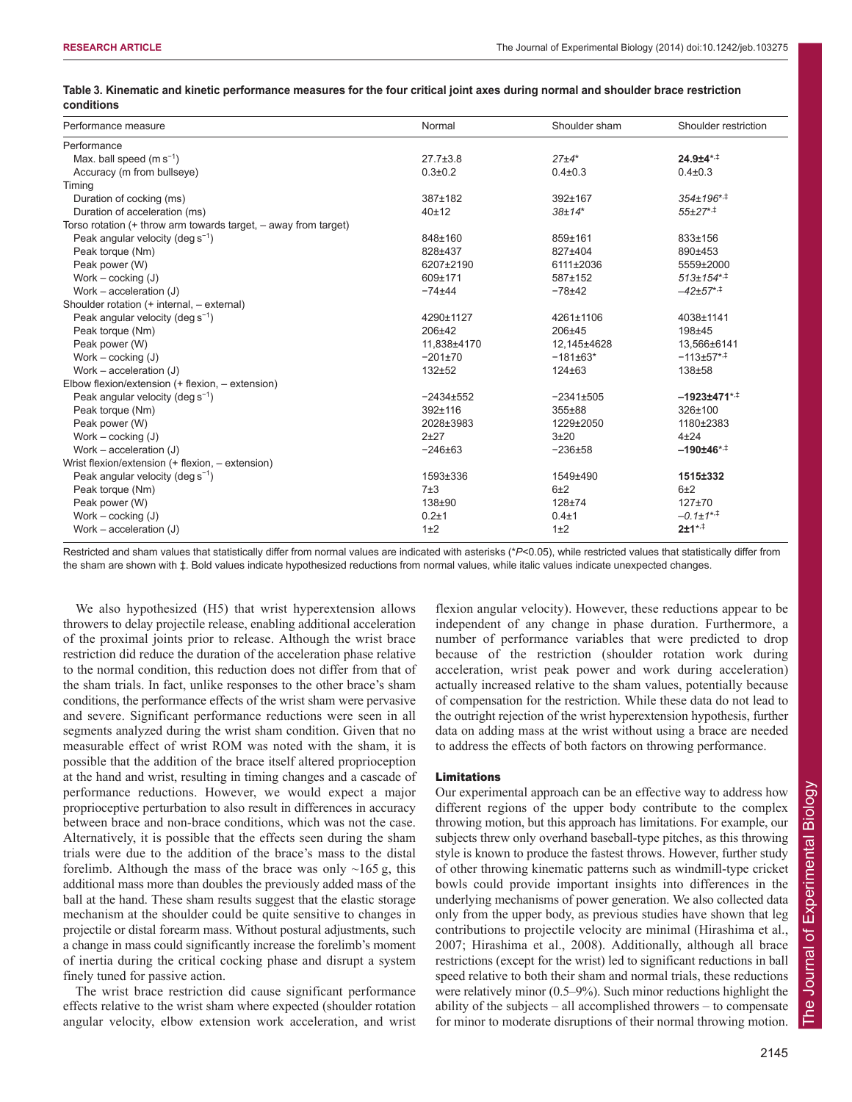| Table 3. Kinematic and kinetic performance measures for the four critical joint axes during normal and shoulder brace restriction |  |
|-----------------------------------------------------------------------------------------------------------------------------------|--|
| conditions                                                                                                                        |  |

| Performance measure                                             | Normal         | Shoulder sham | Shoulder restriction           |
|-----------------------------------------------------------------|----------------|---------------|--------------------------------|
| Performance                                                     |                |               |                                |
| Max. ball speed ( $ms^{-1}$ )                                   | $27.7 \pm 3.8$ | $27 + 4*$     | $24.9 + 4^{*+}$                |
| Accuracy (m from bullseye)                                      | $0.3 \pm 0.2$  | $0.4 \pm 0.3$ | $0.4 \pm 0.3$                  |
| Timing                                                          |                |               |                                |
| Duration of cocking (ms)                                        | 387±182        | 392±167       | $354\pm196$ * <sup>+</sup>     |
| Duration of acceleration (ms)                                   | 40±12          | $38 + 14$ *   | $55\pm27$ *,‡                  |
| Torso rotation (+ throw arm towards target, - away from target) |                |               |                                |
| Peak angular velocity (deg $s^{-1}$ )                           | 848±160        | 859±161       | 833±156                        |
| Peak torque (Nm)                                                | 828±437        | 827±404       | 890±453                        |
| Peak power (W)                                                  | 6207±2190      | 6111±2036     | 5559±2000                      |
| Work $-$ cocking $(J)$                                          | 609±171        | 587±152       | $513 \pm 154^{*,+}$            |
| Work $-$ acceleration (J)                                       | $-74+44$       | $-78+42$      | $-42\pm57$ *,‡                 |
| Shoulder rotation (+ internal, - external)                      |                |               |                                |
| Peak angular velocity (deg $s^{-1}$ )                           | 4290±1127      | 4261±1106     | 4038±1141                      |
| Peak torque (Nm)                                                | 206±42         | 206±45        | 198±45                         |
| Peak power (W)                                                  | 11.838±4170    | 12.145±4628   | 13.566±6141                    |
| Work $-$ cocking $(J)$                                          | $-201 \pm 70$  | $-181\pm63*$  | $-113+57**$                    |
| Work $-$ acceleration (J)                                       | $132 + 52$     | $124 \pm 63$  | 138±58                         |
| Elbow flexion/extension (+ flexion, - extension)                |                |               |                                |
| Peak angular velocity (deg $s^{-1}$ )                           | $-2434+552$    | $-2341\pm505$ | $-1923 \pm 471$ * <sup>+</sup> |
| Peak torque (Nm)                                                | 392±116        | 355±88        | 326±100                        |
| Peak power (W)                                                  | 2028±3983      | 1229±2050     | 1180±2383                      |
| Work $-$ cocking $(J)$                                          | $2+27$         | 3±20          | $4 + 24$                       |
| Work $-$ acceleration (J)                                       | $-246+63$      | $-236+58$     | $-190±46$ *.‡                  |
| Wrist flexion/extension (+ flexion, - extension)                |                |               |                                |
| Peak angular velocity (deg $s^{-1}$ )                           | 1593±336       | 1549±490      | 1515±332                       |
| Peak torque (Nm)                                                | 7±3            | 6±2           | 6±2                            |
| Peak power (W)                                                  | 138±90         | 128±74        | 127±70                         |
| Work - cocking (J)                                              | $0.2 + 1$      | $0.4 \pm 1$   | $-0.1 \pm 1^{*,+}$             |
| Work $-$ acceleration (J)                                       | 1±2            | 1±2           | $2±1***$                       |
|                                                                 |                |               |                                |

Restricted and sham values that statistically differ from normal values are indicated with asterisks (\**P*<0.05), while restricted values that statistically differ from the sham are shown with ‡. Bold values indicate hypothesized reductions from normal values, while italic values indicate unexpected changes.

We also hypothesized (H5) that wrist hyperextension allows throwers to delay projectile release, enabling additional acceleration of the proximal joints prior to release. Although the wrist brace restriction did reduce the duration of the acceleration phase relative to the normal condition, this reduction does not differ from that of the sham trials. In fact, unlike responses to the other brace's sham conditions, the performance effects of the wrist sham were pervasive and severe. Significant performance reductions were seen in all segments analyzed during the wrist sham condition. Given that no measurable effect of wrist ROM was noted with the sham, it is possible that the addition of the brace itself altered proprioception at the hand and wrist, resulting in timing changes and a cascade of performance reductions. However, we would expect a major proprioceptive perturbation to also result in differences in accuracy between brace and non-brace conditions, which was not the case. Alternatively, it is possible that the effects seen during the sham trials were due to the addition of the brace's mass to the distal forelimb. Although the mass of the brace was only  $\sim$ 165 g, this additional mass more than doubles the previously added mass of the ball at the hand. These sham results suggest that the elastic storage mechanism at the shoulder could be quite sensitive to changes in projectile or distal forearm mass. Without postural adjustments, such a change in mass could significantly increase the forelimb's moment of inertia during the critical cocking phase and disrupt a system finely tuned for passive action.

The wrist brace restriction did cause significant performance effects relative to the wrist sham where expected (shoulder rotation angular velocity, elbow extension work acceleration, and wrist flexion angular velocity). However, these reductions appear to be independent of any change in phase duration. Furthermore, a number of performance variables that were predicted to drop because of the restriction (shoulder rotation work during acceleration, wrist peak power and work during acceleration) actually increased relative to the sham values, potentially because of compensation for the restriction. While these data do not lead to the outright rejection of the wrist hyperextension hypothesis, further data on adding mass at the wrist without using a brace are needed to address the effects of both factors on throwing performance.

## Limitations

Our experimental approach can be an effective way to address how different regions of the upper body contribute to the complex throwing motion, but this approach has limitations. For example, our subjects threw only overhand baseball-type pitches, as this throwing style is known to produce the fastest throws. However, further study of other throwing kinematic patterns such as windmill-type cricket bowls could provide important insights into differences in the underlying mechanisms of power generation. We also collected data only from the upper body, as previous studies have shown that leg contributions to projectile velocity are minimal (Hirashima et al., 2007; Hirashima et al., 2008). Additionally, although all brace restrictions (except for the wrist) led to significant reductions in ball speed relative to both their sham and normal trials, these reductions were relatively minor (0.5–9%). Such minor reductions highlight the ability of the subjects – all accomplished throwers – to compensate for minor to moderate disruptions of their normal throwing motion.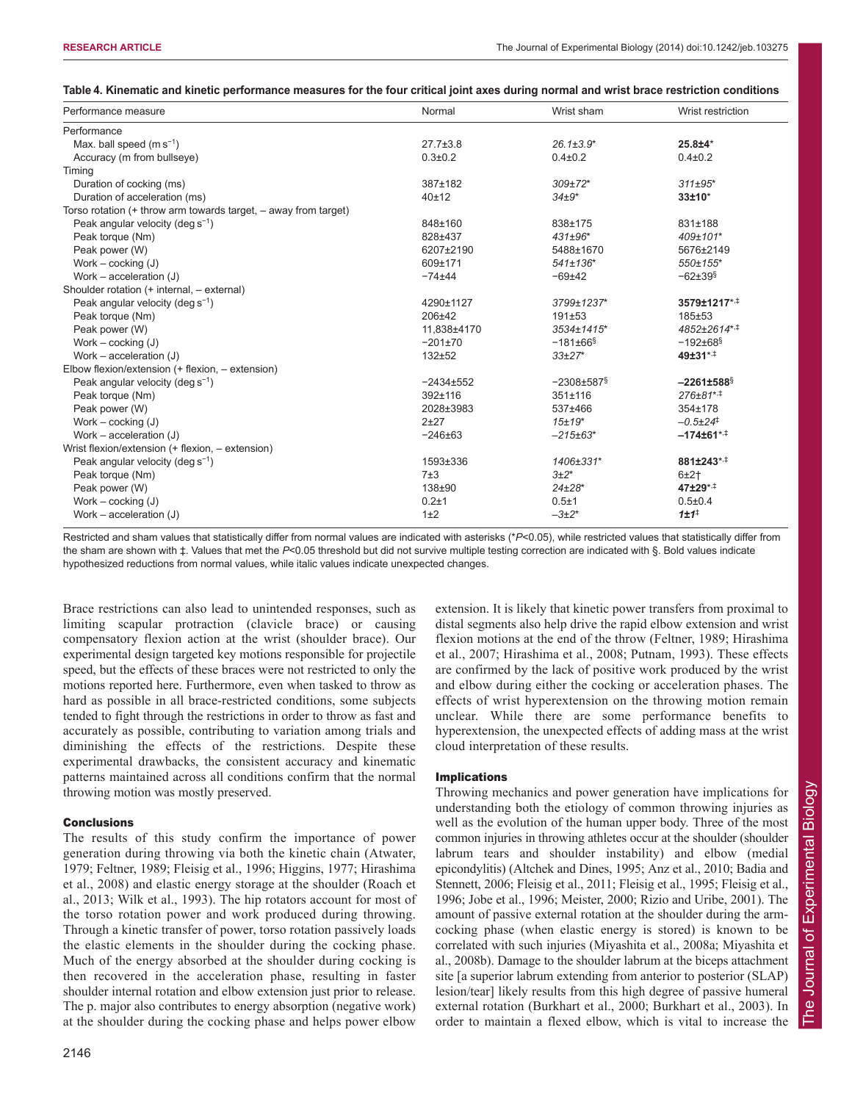#### **Table 4. Kinematic and kinetic performance measures for the four critical joint axes during normal and wrist brace restriction conditions**

| Performance measure                                                  | Normal         | Wrist sham                 | Wrist restriction                    |
|----------------------------------------------------------------------|----------------|----------------------------|--------------------------------------|
| Performance                                                          |                |                            |                                      |
| Max. ball speed $(m s^{-1})$                                         | $27.7 \pm 3.8$ | $26.1 \pm 3.9^*$           | 25.8±4*                              |
| Accuracy (m from bullseye)                                           | $0.3 \pm 0.2$  | $0.4 \pm 0.2$              | $0.4 \pm 0.2$                        |
| Timina                                                               |                |                            |                                      |
| Duration of cocking (ms)                                             | 387±182        | $309 + 72$ *               | $311 \pm 95$ *                       |
| Duration of acceleration (ms)                                        | 40±12          | $34 + 9*$                  | 33±10*                               |
| Torso rotation $(+)$ throw arm towards target, $-$ away from target) |                |                            |                                      |
| Peak angular velocity (deg $s^{-1}$ )                                | 848±160        | 838±175                    | 831±188                              |
| Peak torque (Nm)                                                     | 828±437        | $431\pm96*$                | 409±101*                             |
| Peak power (W)                                                       | 6207±2190      | 5488±1670                  | 5676±2149                            |
| Work $-$ cocking $(J)$                                               | 609±171        | $541 \pm 136$ *            | 550±155*                             |
| Work – acceleration $(J)$                                            | $-74+44$       | $-69+42$                   | $-62+39$ <sup>§</sup>                |
| Shoulder rotation (+ internal, - external)                           |                |                            |                                      |
| Peak angular velocity (deg $s^{-1}$ )                                | 4290±1127      | 3799±1237*                 | 3579±1217* <sup>.‡</sup>             |
| Peak torque (Nm)                                                     | 206±42         | $191 + 53$                 | 185±53                               |
| Peak power (W)                                                       | 11.838±4170    | 3534±1415*                 | 4852±2614*+                          |
| Work $-$ cocking $(J)$                                               | $-201\pm70$    | $-181 \pm 66$ <sup>§</sup> | $-192+68$ <sup>§</sup>               |
| Work $-$ acceleration (J)                                            | $132 + 52$     | $33+27*$                   | 49±31* <sup>.‡</sup>                 |
| Elbow flexion/extension (+ flexion, - extension)                     |                |                            |                                      |
| Peak angular velocity (deg $s^{-1}$ )                                | $-2434+552$    | $-2308 + 587$              | $-2261 \pm 588$                      |
| Peak torque (Nm)                                                     | 392±116        | $351 \pm 116$              | $276 \pm 81^{*,+}$                   |
| Peak power (W)                                                       | 2028±3983      | 537±466                    | 354±178                              |
| Work $-$ cocking $(J)$                                               | $2+27$         | $15 + 19*$                 | $-0.5 \pm 24$ <sup>‡</sup>           |
| Work $-$ acceleration $(J)$                                          | $-246 \pm 63$  | $-215 \pm 63*$             | $-174±61**$                          |
| Wrist flexion/extension (+ flexion, - extension)                     |                |                            |                                      |
| Peak angular velocity (deg $s^{-1}$ )                                | 1593±336       | 1406±331*                  | 881±243*+                            |
| Peak torque (Nm)                                                     | 7±3            | $3\pm2*$                   | $6±2$ †                              |
| Peak power (W)                                                       | 138±90         | $24\pm28*$                 | $47 + 29^{+.1}$                      |
| Work $-$ cocking $(J)$                                               | $0.2 + 1$      | $0.5 + 1$                  | $0.5 \pm 0.4$                        |
| Work $-$ acceleration $(J)$                                          | 1±2            | $-3+2*$                    | $1\pm 1$ <sup><math>\pm</math></sup> |

Restricted and sham values that statistically differ from normal values are indicated with asterisks (\*P<0.05), while restricted values that statistically differ from the sham are shown with ‡. Values that met the *P*<0.05 threshold but did not survive multiple testing correction are indicated with §. Bold values indicate hypothesized reductions from normal values, while italic values indicate unexpected changes.

Brace restrictions can also lead to unintended responses, such as limiting scapular protraction (clavicle brace) or causing compensatory flexion action at the wrist (shoulder brace). Our experimental design targeted key motions responsible for projectile speed, but the effects of these braces were not restricted to only the motions reported here. Furthermore, even when tasked to throw as hard as possible in all brace-restricted conditions, some subjects tended to fight through the restrictions in order to throw as fast and accurately as possible, contributing to variation among trials and diminishing the effects of the restrictions. Despite these experimental drawbacks, the consistent accuracy and kinematic patterns maintained across all conditions confirm that the normal throwing motion was mostly preserved.

#### **Conclusions**

The results of this study confirm the importance of power generation during throwing via both the kinetic chain (Atwater, 1979; Feltner, 1989; Fleisig et al., 1996; Higgins, 1977; Hirashima et al., 2008) and elastic energy storage at the shoulder (Roach et al., 2013; Wilk et al., 1993). The hip rotators account for most of the torso rotation power and work produced during throwing. Through a kinetic transfer of power, torso rotation passively loads the elastic elements in the shoulder during the cocking phase. Much of the energy absorbed at the shoulder during cocking is then recovered in the acceleration phase, resulting in faster shoulder internal rotation and elbow extension just prior to release. The p. major also contributes to energy absorption (negative work) at the shoulder during the cocking phase and helps power elbow

extension. It is likely that kinetic power transfers from proximal to distal segments also help drive the rapid elbow extension and wrist flexion motions at the end of the throw (Feltner, 1989; Hirashima et al., 2007; Hirashima et al., 2008; Putnam, 1993). These effects are confirmed by the lack of positive work produced by the wrist and elbow during either the cocking or acceleration phases. The effects of wrist hyperextension on the throwing motion remain unclear. While there are some performance benefits to hyperextension, the unexpected effects of adding mass at the wrist cloud interpretation of these results.

## Implications

Throwing mechanics and power generation have implications for understanding both the etiology of common throwing injuries as well as the evolution of the human upper body. Three of the most common injuries in throwing athletes occur at the shoulder (shoulder labrum tears and shoulder instability) and elbow (medial epicondylitis) (Altchek and Dines, 1995; Anz et al., 2010; Badia and Stennett, 2006; Fleisig et al., 2011; Fleisig et al., 1995; Fleisig et al., 1996; Jobe et al., 1996; Meister, 2000; Rizio and Uribe, 2001). The amount of passive external rotation at the shoulder during the armcocking phase (when elastic energy is stored) is known to be correlated with such injuries (Miyashita et al., 2008a; Miyashita et al., 2008b). Damage to the shoulder labrum at the biceps attachment site [a superior labrum extending from anterior to posterior (SLAP) lesion/tear] likely results from this high degree of passive humeral external rotation (Burkhart et al., 2000; Burkhart et al., 2003). In order to maintain a flexed elbow, which is vital to increase the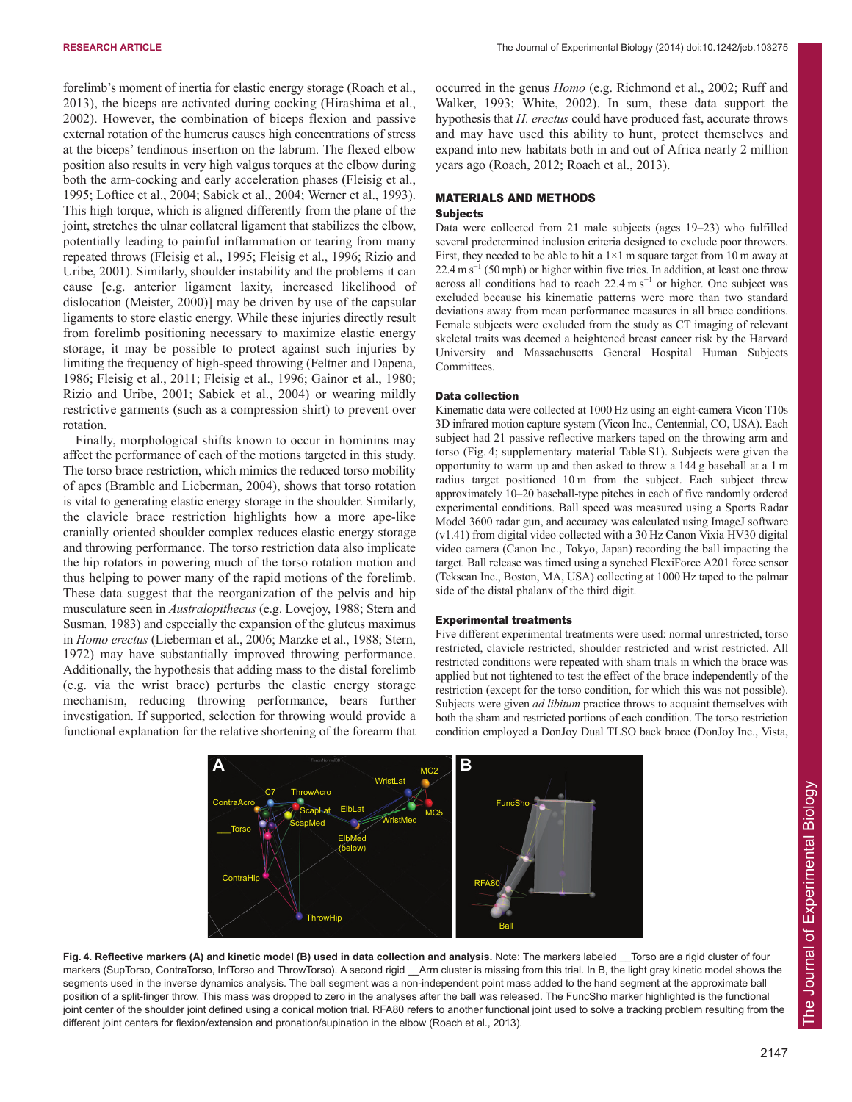forelimb's moment of inertia for elastic energy storage (Roach et al., 2013), the biceps are activated during cocking (Hirashima et al., 2002). However, the combination of biceps flexion and passive external rotation of the humerus causes high concentrations of stress at the biceps' tendinous insertion on the labrum. The flexed elbow position also results in very high valgus torques at the elbow during both the arm-cocking and early acceleration phases (Fleisig et al., 1995; Loftice et al., 2004; Sabick et al., 2004; Werner et al., 1993). This high torque, which is aligned differently from the plane of the joint, stretches the ulnar collateral ligament that stabilizes the elbow, potentially leading to painful inflammation or tearing from many repeated throws (Fleisig et al., 1995; Fleisig et al., 1996; Rizio and Uribe, 2001). Similarly, shoulder instability and the problems it can cause [e.g. anterior ligament laxity, increased likelihood of dislocation (Meister, 2000)] may be driven by use of the capsular ligaments to store elastic energy. While these injuries directly result from forelimb positioning necessary to maximize elastic energy storage, it may be possible to protect against such injuries by limiting the frequency of high-speed throwing (Feltner and Dapena, 1986; Fleisig et al., 2011; Fleisig et al., 1996; Gainor et al., 1980; Rizio and Uribe, 2001; Sabick et al., 2004) or wearing mildly restrictive garments (such as a compression shirt) to prevent over rotation.

Finally, morphological shifts known to occur in hominins may affect the performance of each of the motions targeted in this study. The torso brace restriction, which mimics the reduced torso mobility of apes (Bramble and Lieberman, 2004), shows that torso rotation is vital to generating elastic energy storage in the shoulder. Similarly, the clavicle brace restriction highlights how a more ape-like cranially oriented shoulder complex reduces elastic energy storage and throwing performance. The torso restriction data also implicate the hip rotators in powering much of the torso rotation motion and thus helping to power many of the rapid motions of the forelimb. These data suggest that the reorganization of the pelvis and hip musculature seen in *Australopithecus* (e.g. Lovejoy, 1988; Stern and Susman, 1983) and especially the expansion of the gluteus maximus in *Homo erectus* (Lieberman et al., 2006; Marzke et al., 1988; Stern, 1972) may have substantially improved throwing performance. Additionally, the hypothesis that adding mass to the distal forelimb (e.g. via the wrist brace) perturbs the elastic energy storage mechanism, reducing throwing performance, bears further investigation. If supported, selection for throwing would provide a functional explanation for the relative shortening of the forearm that occurred in the genus *Homo* (e.g. Richmond et al., 2002; Ruff and Walker, 1993; White, 2002). In sum, these data support the hypothesis that *H. erectus* could have produced fast, accurate throws and may have used this ability to hunt, protect themselves and expand into new habitats both in and out of Africa nearly 2 million years ago (Roach, 2012; Roach et al., 2013).

# MATERIALS AND METHODS

# **Subjects**

Data were collected from 21 male subjects (ages 19–23) who fulfilled several predetermined inclusion criteria designed to exclude poor throwers. First, they needed to be able to hit a  $1\times1$  m square target from 10 m away at  $22.4 \text{ m s}^{-1}$  (50 mph) or higher within five tries. In addition, at least one throw across all conditions had to reach 22.4 m s<sup>−</sup><sup>1</sup> or higher. One subject was excluded because his kinematic patterns were more than two standard deviations away from mean performance measures in all brace conditions. Female subjects were excluded from the study as CT imaging of relevant skeletal traits was deemed a heightened breast cancer risk by the Harvard University and Massachusetts General Hospital Human Subjects Committees.

#### Data collection

Kinematic data were collected at 1000 Hz using an eight-camera Vicon T10s 3D infrared motion capture system (Vicon Inc., Centennial, CO, USA). Each subject had 21 passive reflective markers taped on the throwing arm and torso (Fig. 4; supplementary material Table S1). Subjects were given the opportunity to warm up and then asked to throw a 144 g baseball at a 1 m radius target positioned 10 m from the subject. Each subject threw approximately 10–20 baseball-type pitches in each of five randomly ordered experimental conditions. Ball speed was measured using a Sports Radar Model 3600 radar gun, and accuracy was calculated using ImageJ software (v1.41) from digital video collected with a 30 Hz Canon Vixia HV30 digital video camera (Canon Inc., Tokyo, Japan) recording the ball impacting the target. Ball release was timed using a synched FlexiForce A201 force sensor (Tekscan Inc., Boston, MA, USA) collecting at 1000 Hz taped to the palmar side of the distal phalanx of the third digit.

#### Experimental treatments

Five different experimental treatments were used: normal unrestricted, torso restricted, clavicle restricted, shoulder restricted and wrist restricted. All restricted conditions were repeated with sham trials in which the brace was applied but not tightened to test the effect of the brace independently of the restriction (except for the torso condition, for which this was not possible). Subjects were given *ad libitum* practice throws to acquaint themselves with both the sham and restricted portions of each condition. The torso restriction condition employed a DonJoy Dual TLSO back brace (DonJoy Inc., Vista,



**Fig. 4. Reflective markers (A) and kinetic model (B) used in data collection and analysis.** Note: The markers labeled \_\_Torso are a rigid cluster of four markers (SupTorso, ContraTorso, InfTorso and ThrowTorso). A second rigid \_\_Arm cluster is missing from this trial. In B, the light gray kinetic model shows the segments used in the inverse dynamics analysis. The ball segment was a non-independent point mass added to the hand segment at the approximate ball position of a split-finger throw. This mass was dropped to zero in the analyses after the ball was released. The FuncSho marker highlighted is the functional joint center of the shoulder joint defined using a conical motion trial. RFA80 refers to another functional joint used to solve a tracking problem resulting from the different joint centers for flexion/extension and pronation/supination in the elbow (Roach et al., 2013).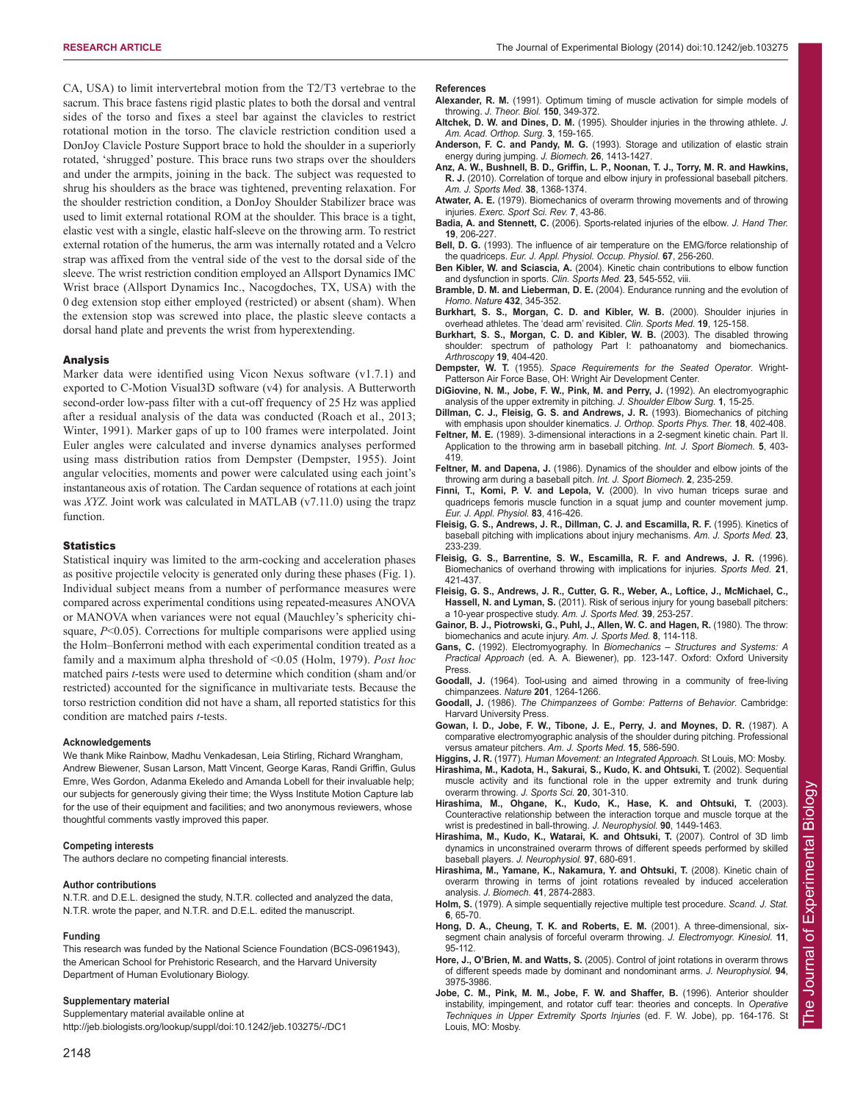CA, USA) to limit intervertebral motion from the T2/T3 vertebrae to the sacrum. This brace fastens rigid plastic plates to both the dorsal and ventral sides of the torso and fixes a steel bar against the clavicles to restrict rotational motion in the torso. The clavicle restriction condition used a DonJoy Clavicle Posture Support brace to hold the shoulder in a superiorly rotated, 'shrugged' posture. This brace runs two straps over the shoulders and under the armpits, joining in the back. The subject was requested to shrug his shoulders as the brace was tightened, preventing relaxation. For the shoulder restriction condition, a DonJoy Shoulder Stabilizer brace was used to limit external rotational ROM at the shoulder. This brace is a tight, elastic vest with a single, elastic half-sleeve on the throwing arm. To restrict external rotation of the humerus, the arm was internally rotated and a Velcro strap was affixed from the ventral side of the vest to the dorsal side of the sleeve. The wrist restriction condition employed an Allsport Dynamics IMC Wrist brace (Allsport Dynamics Inc., Nacogdoches, TX, USA) with the 0 deg extension stop either employed (restricted) or absent (sham). When the extension stop was screwed into place, the plastic sleeve contacts a dorsal hand plate and prevents the wrist from hyperextending.

#### Analysis

Marker data were identified using Vicon Nexus software (v1.7.1) and exported to C-Motion Visual3D software (v4) for analysis. A Butterworth second-order low-pass filter with a cut-off frequency of 25 Hz was applied after a residual analysis of the data was conducted (Roach et al., 2013; Winter, 1991). Marker gaps of up to 100 frames were interpolated. Joint Euler angles were calculated and inverse dynamics analyses performed using mass distribution ratios from Dempster (Dempster, 1955). Joint angular velocities, moments and power were calculated using each joint's instantaneous axis of rotation. The Cardan sequence of rotations at each joint was *XYZ*. Joint work was calculated in MATLAB (v7.11.0) using the trapz function.

#### **Statistics**

Statistical inquiry was limited to the arm-cocking and acceleration phases as positive projectile velocity is generated only during these phases (Fig. 1). Individual subject means from a number of performance measures were compared across experimental conditions using repeated-measures ANOVA or MANOVA when variances were not equal (Mauchley's sphericity chisquare, *P*<0.05). Corrections for multiple comparisons were applied using the Holm–Bonferroni method with each experimental condition treated as a family and a maximum alpha threshold of <0.05 (Holm, 1979). *Post hoc* matched pairs *t*-tests were used to determine which condition (sham and/or restricted) accounted for the significance in multivariate tests. Because the torso restriction condition did not have a sham, all reported statistics for this condition are matched pairs *t*-tests.

#### **Acknowledgements**

We thank Mike Rainbow, Madhu Venkadesan, Leia Stirling, Richard Wrangham, Andrew Biewener, Susan Larson, Matt Vincent, George Karas, Randi Griffin, Gulus Emre, Wes Gordon, Adanma Ekeledo and Amanda Lobell for their invaluable help; our subjects for generously giving their time; the Wyss Institute Motion Capture lab for the use of their equipment and facilities; and two anonymous reviewers, whose thoughtful comments vastly improved this paper.

#### **Competing interests**

The authors declare no competing financial interests.

#### **Author contributions**

N.T.R. and D.E.L. designed the study, N.T.R. collected and analyzed the data, N.T.R. wrote the paper, and N.T.R. and D.E.L. edited the manuscript.

#### **Funding**

This research was funded by the National Science Foundation (BCS-0961943), the American School for Prehistoric Research, and the Harvard University Department of Human Evolutionary Biology.

#### **Supplementary material**

Supplementary material available online at http://jeb.biologists.org/lookup/suppl/doi:10.1242/jeb.103275/-/DC1

- **Alexander, R. M.** (1991). Optimum timing of muscle activation for simple models of throwing. *J. Theor. Biol.* **150**, 349-372.
- **Altchek, D. W. and Dines, D. M.** (1995). Shoulder injuries in the throwing athlete. *J. Am. Acad. Orthop. Surg.* **3**, 159-165.
- **Anderson, F. C. and Pandy, M. G.** (1993). Storage and utilization of elastic strain energy during jumping. *J. Biomech.* **26**, 1413-1427.
- **Anz, A. W., Bushnell, B. D., Griffin, L. P., Noonan, T. J., Torry, M. R. and Hawkins, R. J.** (2010). Correlation of torque and elbow injury in professional baseball pitchers. *Am. J. Sports Med.* **38**, 1368-1374.
- **Atwater, A. E.** (1979). Biomechanics of overarm throwing movements and of throwing injuries. *Exerc. Sport Sci. Rev.* **7**, 43-86.
- **Badia, A. and Stennett, C.** (2006). Sports-related injuries of the elbow. *J. Hand Ther.* **19**, 206-227.
- **Bell, D. G.** (1993). The influence of air temperature on the EMG/force relationship of the quadriceps. *Eur. J. Appl. Physiol. Occup. Physiol.* **67**, 256-260.
- **Ben Kibler, W. and Sciascia, A.** (2004). Kinetic chain contributions to elbow function and dysfunction in sports. *Clin. Sports Med.* **23**, 545-552, viii.
- **Bramble, D. M. and Lieberman, D. E.** (2004). Endurance running and the evolution of *Homo*. *Nature* **432**, 345-352.
- **Burkhart, S. S., Morgan, C. D. and Kibler, W. B.** (2000). Shoulder injuries in overhead athletes. The 'dead arm' revisited. *Clin. Sports Med.* **19**, 125-158.
- **Burkhart, S. S., Morgan, C. D. and Kibler, W. B.** (2003). The disabled throwing shoulder: spectrum of pathology Part I: pathoanatomy and biomechanics. *Arthroscopy* **19**, 404-420.
- **Dempster, W. T.** (1955). *Space Requirements for the Seated Operator*. Wright-Patterson Air Force Base, OH: Wright Air Development Center.
- **DiGiovine, N. M., Jobe, F. W., Pink, M. and Perry, J.** (1992). An electromyographic analysis of the upper extremity in pitching. *J. Shoulder Elbow Surg.* **1**, 15-25.
- **Dillman, C. J., Fleisig, G. S. and Andrews, J. R.** (1993). Biomechanics of pitching with emphasis upon shoulder kinematics. *J. Orthop. Sports Phys. Ther.* **18**, 402-408.
- **Feltner, M. E.** (1989). 3-dimensional interactions in a 2-segment kinetic chain. Part II. Application to the throwing arm in baseball pitching. *Int. J. Sport Biomech.* **5**, 403- 419.
- **Feltner, M. and Dapena, J.** (1986). Dynamics of the shoulder and elbow joints of the throwing arm during a baseball pitch. *Int. J. Sport Biomech.* **2**, 235-259.
- **Finni, T., Komi, P. V. and Lepola, V.** (2000). In vivo human triceps surae and quadriceps femoris muscle function in a squat jump and counter movement jump. *Eur. J. Appl. Physiol.* **83**, 416-426.
- **Fleisig, G. S., Andrews, J. R., Dillman, C. J. and Escamilla, R. F.** (1995). Kinetics of baseball pitching with implications about injury mechanisms. *Am. J. Sports Med.* **23**, 233-239.
- **Fleisig, G. S., Barrentine, S. W., Escamilla, R. F. and Andrews, J. R.** (1996). Biomechanics of overhand throwing with implications for injuries. *Sports Med.* **21**, 421-437.
- **Fleisig, G. S., Andrews, J. R., Cutter, G. R., Weber, A., Loftice, J., McMichael, C., Hassell, N. and Lyman, S.** (2011). Risk of serious injury for young baseball pitchers: a 10-year prospective study. *Am. J. Sports Med.* **39**, 253-257.
- **Gainor, B. J., Piotrowski, G., Puhl, J., Allen, W. C. and Hagen, R.** (1980). The throw: biomechanics and acute injury. *Am. J. Sports Med.* **8**, 114-118.
- **Gans, C.** (1992). Electromyography. In *Biomechanics Structures and Systems: A Practical Approach* (ed. A. A. Biewener), pp. 123-147. Oxford: Oxford University Press.
- **Goodall, J.** (1964). Tool-using and aimed throwing in a community of free-living chimpanzees. *Nature* **201**, 1264-1266.
- **Goodall, J.** (1986). *The Chimpanzees of Gombe: Patterns of Behavior*. Cambridge: Harvard University Press.
- **Gowan, I. D., Jobe, F. W., Tibone, J. E., Perry, J. and Moynes, D. R.** (1987). A comparative electromyographic analysis of the shoulder during pitching. Professional versus amateur pitchers. *Am. J. Sports Med.* **15**, 586-590.
- **Higgins, J. R.** (1977). *Human Movement: an Integrated Approach*. St Louis, MO: Mosby.
- **Hirashima, M., Kadota, H., Sakurai, S., Kudo, K. and Ohtsuki, T.** (2002). Sequential muscle activity and its functional role in the upper extremity and trunk during overarm throwing. *J. Sports Sci.* **20**, 301-310.
- **Hirashima, M., Ohgane, K., Kudo, K., Hase, K. and Ohtsuki, T.** (2003). Counteractive relationship between the interaction torque and muscle torque at the wrist is predestined in ball-throwing. *J. Neurophysiol.* **90**, 1449-1463.
- **Hirashima, M., Kudo, K., Watarai, K. and Ohtsuki, T.** (2007). Control of 3D limb dynamics in unconstrained overarm throws of different speeds performed by skilled baseball players. *J. Neurophysiol.* **97**, 680-691.
- **Hirashima, M., Yamane, K., Nakamura, Y. and Ohtsuki, T.** (2008). Kinetic chain of overarm throwing in terms of joint rotations revealed by induced acceleration analysis. *J. Biomech.* **41**, 2874-2883.
- **Holm, S.** (1979). A simple sequentially rejective multiple test procedure. *Scand. J. Stat.* **6**, 65-70.
- **Hong, D. A., Cheung, T. K. and Roberts, E. M.** (2001). A three-dimensional, sixsegment chain analysis of forceful overarm throwing. *J. Electromyogr. Kinesiol.* **11**, 95-112.
- **Hore, J., O'Brien, M. and Watts, S.** (2005). Control of joint rotations in overarm throws of different speeds made by dominant and nondominant arms. *J. Neurophysiol.* **94**, 3975-3986.
- **Jobe, C. M., Pink, M. M., Jobe, F. W. and Shaffer, B.** (1996). Anterior shoulder instability, impingement, and rotator cuff tear: theories and concepts. In *Operative Techniques in Upper Extremity Sports Injuries* (ed. F. W. Jobe), pp. 164-176. St Louis, MO: Mosby.